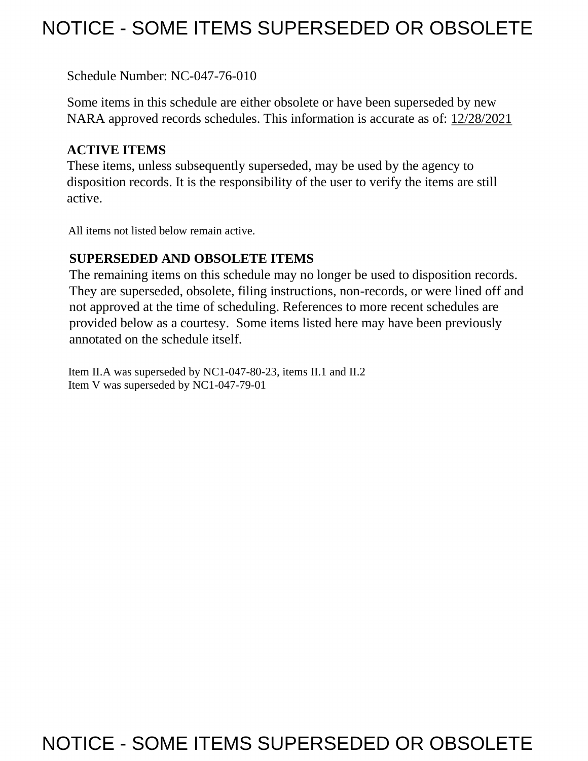# NOTICE - SOME ITEMS SUPERSEDED OR OBSOLETE

Schedule Number: NC-047-76-010

 Some items in this schedule are either obsolete or have been superseded by new NARA approved records schedules. This information is accurate as of: 12/28/2021

# **ACTIVE ITEMS**

 These items, unless subsequently superseded, may be used by the agency to disposition records. It is the responsibility of the user to verify the items are still active.

All items not listed below remain active.

# **SUPERSEDED AND OBSOLETE ITEMS**

 The remaining items on this schedule may no longer be used to disposition records. not approved at the time of scheduling. References to more recent schedules are provided below as a courtesy. Some items listed here may have been previously They are superseded, obsolete, filing instructions, non-records, or were lined off and annotated on the schedule itself.

Item II.A was superseded by NC1-047-80-23, items II.1 and II.2 Item V was superseded by NC1-047-79-01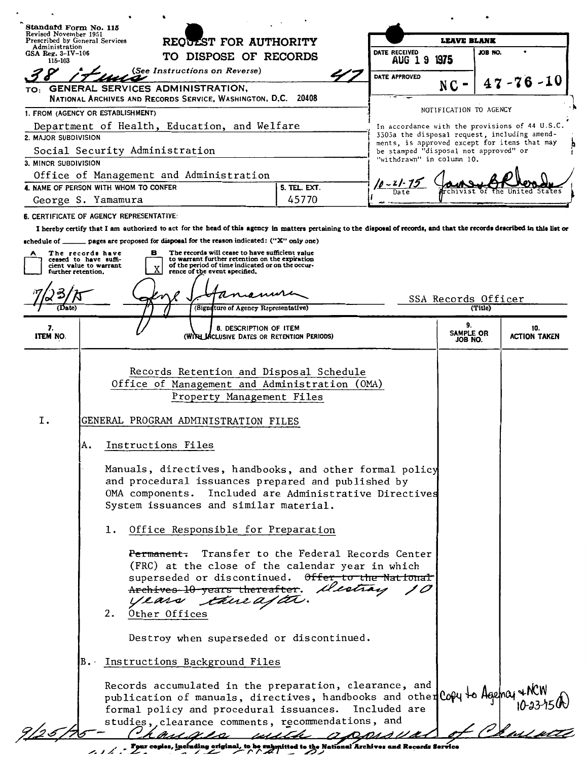| Standard Form No. 115<br>Revised November 1951<br><b>Prescribed by General Services</b>                              |                                                                                                                                                                           |                                                                                                                                                                                                                   |                                        |                           | <b>LEAVE BLANK</b>                |         |                                                |
|----------------------------------------------------------------------------------------------------------------------|---------------------------------------------------------------------------------------------------------------------------------------------------------------------------|-------------------------------------------------------------------------------------------------------------------------------------------------------------------------------------------------------------------|----------------------------------------|---------------------------|-----------------------------------|---------|------------------------------------------------|
| Administration<br>GSA Reg. $3-IV-106$                                                                                |                                                                                                                                                                           | REODEST FOR AUTHORITY<br>TO DISPOSE OF RECORDS                                                                                                                                                                    |                                        | DATE RECEIVED             |                                   | JOB NO. |                                                |
| 115-103                                                                                                              |                                                                                                                                                                           |                                                                                                                                                                                                                   |                                        | <b>AUG 19</b>             | 1975                              |         |                                                |
|                                                                                                                      |                                                                                                                                                                           | (See Instructions on Reverse)                                                                                                                                                                                     |                                        | DATE APPROVED             |                                   |         | $76 - 10$                                      |
| TO:                                                                                                                  | GENERAL SERVICES ADMINISTRATION,<br>NATIONAL ARCHIVES AND RECORDS SERVICE, WASHINGTON, D.C. 20408                                                                         |                                                                                                                                                                                                                   |                                        |                           | N C                               |         |                                                |
|                                                                                                                      |                                                                                                                                                                           |                                                                                                                                                                                                                   |                                        |                           | NOTIFICATION TO AGENCY            |         |                                                |
|                                                                                                                      | 1. FROM (AGENCY OR ESTABLISHMENT)                                                                                                                                         |                                                                                                                                                                                                                   |                                        |                           |                                   |         | In accordance with the provisions of 44 U.S.C. |
| Department of Health, Education, and Welfare<br>3303a the disposal request, including amend-<br>2. MAJOR SUBDIVISION |                                                                                                                                                                           |                                                                                                                                                                                                                   |                                        |                           |                                   |         |                                                |
| Social Security Administration<br>be stamped "disposal not approved" or                                              |                                                                                                                                                                           |                                                                                                                                                                                                                   |                                        |                           |                                   |         | ments, is approved except for items that may   |
| 3. MINOR SUBDIVISION                                                                                                 |                                                                                                                                                                           |                                                                                                                                                                                                                   |                                        | "withdrawn" in column 10. |                                   |         |                                                |
|                                                                                                                      | Office of Management and Administration                                                                                                                                   |                                                                                                                                                                                                                   |                                        |                           |                                   |         |                                                |
|                                                                                                                      | 4. NAME OF PERSON WITH WHOM TO CONFER                                                                                                                                     |                                                                                                                                                                                                                   | 5. TEL. EXT.                           |                           |                                   |         |                                                |
|                                                                                                                      | George S. Yamamura                                                                                                                                                        |                                                                                                                                                                                                                   | 45770                                  |                           |                                   |         |                                                |
|                                                                                                                      | <b>6. CERTIFICATE OF AGENCY REPRESENTATIVE:</b>                                                                                                                           |                                                                                                                                                                                                                   |                                        |                           |                                   |         |                                                |
|                                                                                                                      | I hereby certify that I am authorized to act for the head of this agency in matters pertaining to the disposal of records, and that the records described in this list or |                                                                                                                                                                                                                   |                                        |                           |                                   |         |                                                |
| schedule of .                                                                                                        | pages are proposed for disposal for the reason indicated: ("X" only one)                                                                                                  |                                                                                                                                                                                                                   |                                        |                           |                                   |         |                                                |
|                                                                                                                      | The records have<br>в<br>ceased to have suffi-                                                                                                                            | The records will cease to have sufficient value<br>to warrant further retention on the expiration                                                                                                                 |                                        |                           |                                   |         |                                                |
| further retention.                                                                                                   | cient value to warrant<br>x                                                                                                                                               | of the period of time indicated or on the occur-<br>rence of the event specified.                                                                                                                                 |                                        |                           |                                   |         |                                                |
|                                                                                                                      |                                                                                                                                                                           |                                                                                                                                                                                                                   |                                        |                           |                                   |         |                                                |
|                                                                                                                      |                                                                                                                                                                           |                                                                                                                                                                                                                   |                                        |                           | SSA Records Officer               |         |                                                |
|                                                                                                                      |                                                                                                                                                                           | (Signsture of Agency Representative)                                                                                                                                                                              |                                        |                           |                                   | (Title) |                                                |
| 7.<br>ITEM NO.                                                                                                       |                                                                                                                                                                           | 8. DESCRIPTION OF ITEM<br>(WITH INCLUSIVE DATES OR RETENTION PERIODS)                                                                                                                                             |                                        |                           | 9.<br><b>SAMPLE OR</b><br>JOB NO. |         | 10.<br><b>ACTION TAKEN</b>                     |
|                                                                                                                      |                                                                                                                                                                           |                                                                                                                                                                                                                   |                                        |                           |                                   |         |                                                |
|                                                                                                                      |                                                                                                                                                                           | Records Retention and Disposal Schedule<br>Office of Management and Administration (OMA)<br>Property Management Files                                                                                             |                                        |                           |                                   |         |                                                |
| Ι.                                                                                                                   | GENERAL PROGRAM ADMINISTRATION FILES                                                                                                                                      |                                                                                                                                                                                                                   |                                        |                           |                                   |         |                                                |
|                                                                                                                      | Instructions Files<br>А.                                                                                                                                                  |                                                                                                                                                                                                                   |                                        |                           |                                   |         |                                                |
|                                                                                                                      |                                                                                                                                                                           | Manuals, directives, handbooks, and other formal policy<br>and procedural issuances prepared and published by<br>OMA components. Included are Administrative Directives<br>System issuances and similar material. |                                        |                           |                                   |         |                                                |
|                                                                                                                      | ı.                                                                                                                                                                        | Office Responsible for Preparation                                                                                                                                                                                |                                        |                           |                                   |         |                                                |
|                                                                                                                      | Permanent.<br>Other Offices<br>2.                                                                                                                                         | (FRC) at the close of the calendar year in which<br>superseded or discontinued. Offer to the National<br>Archives 10 years thereafter. Mestray<br>years thurafter.                                                | Transfer to the Federal Records Center |                           |                                   |         |                                                |
|                                                                                                                      |                                                                                                                                                                           | Destroy when superseded or discontinued.                                                                                                                                                                          |                                        |                           |                                   |         |                                                |
|                                                                                                                      | B. Instructions Background Files                                                                                                                                          |                                                                                                                                                                                                                   |                                        |                           |                                   |         |                                                |
|                                                                                                                      |                                                                                                                                                                           | Records accumulated in the preparation, clearance, and                                                                                                                                                            |                                        |                           |                                   |         |                                                |

*~~LZ:3,1~-..L~~~~~~~\_a,~~~~..st;z:::.~~~~*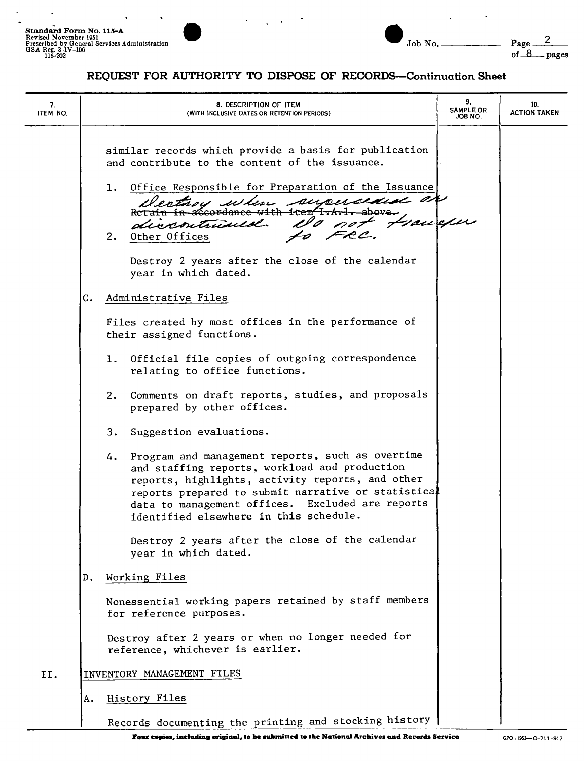$\ddot{\phantom{0}}$ 

 $\ddot{\phantom{0}}$ 

 $\ddot{\phantom{0}}$ 





 $\sim$ 

 $\overline{a}$ 

| 7.<br>ITEM NO. |    | 8. DESCRIPTION OF ITEM<br>(WITH INCLUSIVE DATES OR RETENTION PERIODS)                                                                                                                                                                                                                                                                                                                          | 9.<br><b>SAMPLE OR</b><br>JOB NO. | 10.<br><b>ACTION TAKEN</b> |
|----------------|----|------------------------------------------------------------------------------------------------------------------------------------------------------------------------------------------------------------------------------------------------------------------------------------------------------------------------------------------------------------------------------------------------|-----------------------------------|----------------------------|
|                |    | similar records which provide a basis for publication<br>and contribute to the content of the issuance.<br>1. Office Responsible for Preparation of the Issuance<br>supercenced of<br>Clentroy when<br>Retain in accordance with item I.A.l. above.<br>No not transfer<br>diccontruell.<br>FRC.<br>2. Other Offices<br>Destroy 2 years after the close of the calendar<br>year in which dated. |                                   |                            |
|                | С. | Administrative Files                                                                                                                                                                                                                                                                                                                                                                           |                                   |                            |
|                |    | Files created by most offices in the performance of<br>their assigned functions.                                                                                                                                                                                                                                                                                                               |                                   |                            |
|                |    | Official file copies of outgoing correspondence<br>1.<br>relating to office functions.                                                                                                                                                                                                                                                                                                         |                                   |                            |
|                |    | Comments on draft reports, studies, and proposals<br>2.<br>prepared by other offices.                                                                                                                                                                                                                                                                                                          |                                   |                            |
|                |    | Suggestion evaluations.<br>3.                                                                                                                                                                                                                                                                                                                                                                  |                                   |                            |
|                |    | Program and management reports, such as overtime<br>4.<br>and staffing reports, workload and production<br>reports, highlights, activity reports, and other<br>reports prepared to submit narrative or statistical<br>data to management offices. Excluded are reports<br>identified elsewhere in this schedule.                                                                               |                                   |                            |
|                |    | Destroy 2 years after the close of the calendar<br>year in which dated.                                                                                                                                                                                                                                                                                                                        |                                   |                            |
|                | D. | Working Files                                                                                                                                                                                                                                                                                                                                                                                  |                                   |                            |
|                |    | Nonessential working papers retained by staff members<br>for reference purposes.                                                                                                                                                                                                                                                                                                               |                                   |                            |
|                |    | Destroy after 2 years or when no longer needed for<br>reference, whichever is earlier.                                                                                                                                                                                                                                                                                                         |                                   |                            |
| II.            |    | INVENTORY MANAGEMENT FILES                                                                                                                                                                                                                                                                                                                                                                     |                                   |                            |
|                | А. | History Files                                                                                                                                                                                                                                                                                                                                                                                  |                                   |                            |
|                |    | Records documenting the printing and stocking history                                                                                                                                                                                                                                                                                                                                          |                                   |                            |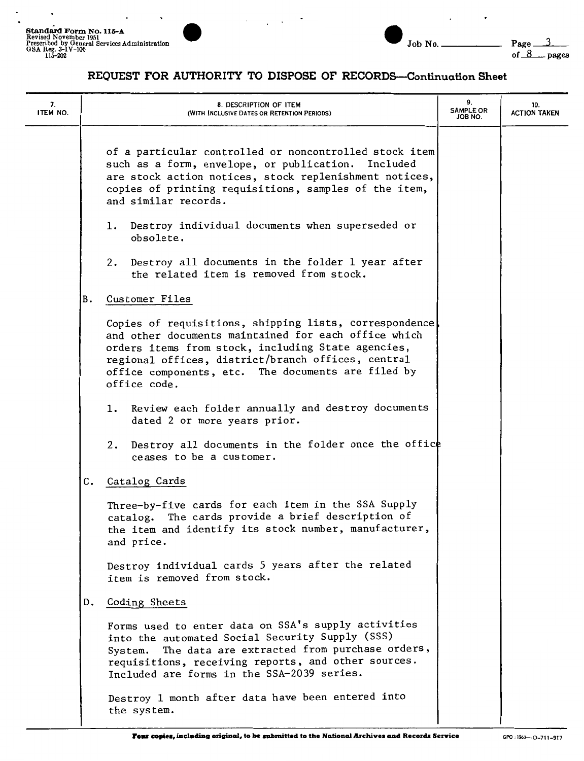



 $\bullet$ 

 $\cdot$ 

| 7.<br>ITEM NO. | 8. DESCRIPTION OF ITEM<br>(WITH INCLUSIVE DATES OR RETENTION PERIODS)                                                                                                                                                                                                                            | 9.<br><b>SAMPLE OR</b><br>JOB NO. | 10.<br><b>ACTION TAKEN</b> |
|----------------|--------------------------------------------------------------------------------------------------------------------------------------------------------------------------------------------------------------------------------------------------------------------------------------------------|-----------------------------------|----------------------------|
|                | of a particular controlled or noncontrolled stock item<br>such as a form, envelope, or publication. Included<br>are stock action notices, stock replenishment notices,<br>copies of printing requisitions, samples of the item,<br>and similar records.                                          |                                   |                            |
|                | 1. Destroy individual documents when superseded or<br>obsolete.                                                                                                                                                                                                                                  |                                   |                            |
|                | 2. Destroy all documents in the folder 1 year after<br>the related item is removed from stock.                                                                                                                                                                                                   |                                   |                            |
|                | Customer Files<br>B.                                                                                                                                                                                                                                                                             |                                   |                            |
|                | Copies of requisitions, shipping lists, correspondence<br>and other documents maintained for each office which<br>orders items from stock, including State agencies,<br>regional offices, district/branch offices, central<br>office components, etc. The documents are filed by<br>office code. |                                   |                            |
|                | 1. Review each folder annually and destroy documents<br>dated 2 or more years prior.                                                                                                                                                                                                             |                                   |                            |
|                | 2. Destroy all documents in the folder once the office<br>ceases to be a customer.                                                                                                                                                                                                               |                                   |                            |
|                | C. Catalog Cards                                                                                                                                                                                                                                                                                 |                                   |                            |
|                | Three-by-five cards for each item in the SSA Supply<br>catalog. The cards provide a brief description of<br>the item and identify its stock number, manufacturer,<br>and price.                                                                                                                  |                                   |                            |
|                | Destroy individual cards 5 years after the related<br>item is removed from stock.                                                                                                                                                                                                                |                                   |                            |
|                | Coding Sheets<br>D.                                                                                                                                                                                                                                                                              |                                   |                            |
|                | Forms used to enter data on SSA's supply activities<br>into the automated Social Security Supply (SSS)<br>The data are extracted from purchase orders,<br>System.<br>requisitions, receiving reports, and other sources.<br>Included are forms in the SSA-2039 series.                           |                                   |                            |
|                | Destroy 1 month after data have been entered into<br>the system.                                                                                                                                                                                                                                 |                                   |                            |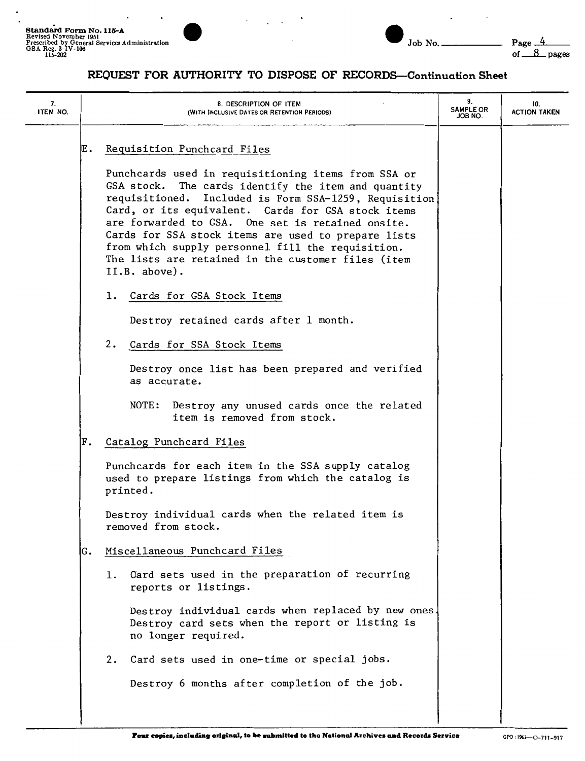$\ddot{\phantom{0}}$ 





 $\overline{a}$ 

| 7.<br>ITEM NO. |    | 8. DESCRIPTION OF ITEM<br>(WITH INCLUSIVE DATES OR RETENTION PERIODS)                                                                                                                                                                                                                                                                                                                                                                                                | 9.<br><b>SAMPLE OR</b><br>JOB NO. | 10.<br><b>ACTION TAKEN</b> |
|----------------|----|----------------------------------------------------------------------------------------------------------------------------------------------------------------------------------------------------------------------------------------------------------------------------------------------------------------------------------------------------------------------------------------------------------------------------------------------------------------------|-----------------------------------|----------------------------|
|                | E. | Requisition Punchcard Files                                                                                                                                                                                                                                                                                                                                                                                                                                          |                                   |                            |
|                |    | Punchcards used in requisitioning items from SSA or<br>GSA stock. The cards identify the item and quantity<br>requisitioned. Included is Form SSA-1259, Requisition<br>Card, or its equivalent. Cards for GSA stock items<br>are forwarded to GSA. One set is retained onsite.<br>Cards for SSA stock items are used to prepare lists<br>from which supply personnel fill the requisition.<br>The lists are retained in the customer files (item<br>$II.B. above$ ). |                                   |                            |
|                |    | 1. Cards for GSA Stock Items                                                                                                                                                                                                                                                                                                                                                                                                                                         |                                   |                            |
|                |    | Destroy retained cards after 1 month.                                                                                                                                                                                                                                                                                                                                                                                                                                |                                   |                            |
|                |    | 2.<br>Cards for SSA Stock Items                                                                                                                                                                                                                                                                                                                                                                                                                                      |                                   |                            |
|                |    | Destroy once list has been prepared and verified<br>as accurate.                                                                                                                                                                                                                                                                                                                                                                                                     |                                   |                            |
|                |    | NOTE: Destroy any unused cards once the related<br>item is removed from stock.                                                                                                                                                                                                                                                                                                                                                                                       |                                   |                            |
|                | F. | Catalog Punchcard Files                                                                                                                                                                                                                                                                                                                                                                                                                                              |                                   |                            |
|                |    | Punchcards for each item in the SSA supply catalog<br>used to prepare listings from which the catalog is<br>printed.                                                                                                                                                                                                                                                                                                                                                 |                                   |                            |
|                |    | Destroy individual cards when the related item is<br>removed from stock.                                                                                                                                                                                                                                                                                                                                                                                             |                                   |                            |
|                | G. | Miscellaneous Punchcard Files                                                                                                                                                                                                                                                                                                                                                                                                                                        |                                   |                            |
|                |    | Oard sets used in the preparation of recurring<br>1.<br>reports or listings.                                                                                                                                                                                                                                                                                                                                                                                         |                                   |                            |
|                |    | Destroy individual cards when replaced by new ones.<br>Destroy card sets when the report or listing is<br>no longer required.                                                                                                                                                                                                                                                                                                                                        |                                   |                            |
|                |    | Card sets used in one-time or special jobs.<br>2.                                                                                                                                                                                                                                                                                                                                                                                                                    |                                   |                            |
|                |    | Destroy 6 months after completion of the job.                                                                                                                                                                                                                                                                                                                                                                                                                        |                                   |                            |
|                |    |                                                                                                                                                                                                                                                                                                                                                                                                                                                                      |                                   |                            |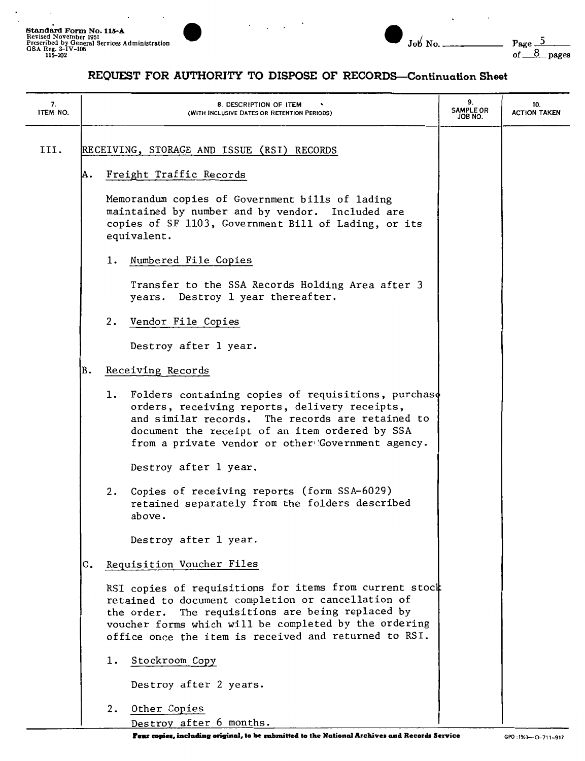



| 7.<br>ITEM NO. |     |    | 8. DESCRIPTION OF ITEM<br>(WITH INCLUSIVE DATES OR RETENTION PERIODS)                                                                                                                                                                                                                | 9.<br><b>SAMPLE OR</b><br>JOB NO. | 10.<br><b>ACTION TAKEN</b> |
|----------------|-----|----|--------------------------------------------------------------------------------------------------------------------------------------------------------------------------------------------------------------------------------------------------------------------------------------|-----------------------------------|----------------------------|
| III.           |     |    | RECEIVING, STORAGE AND ISSUE (RSI) RECORDS                                                                                                                                                                                                                                           |                                   |                            |
|                | IA. |    | Freight Traffic Records                                                                                                                                                                                                                                                              |                                   |                            |
|                |     |    | Memorandum copies of Government bills of lading<br>maintained by number and by vendor. Included are<br>copies of SF 1103, Government Bill of Lading, or its<br>equivalent.                                                                                                           |                                   |                            |
|                |     | 1. | Numbered File Copies                                                                                                                                                                                                                                                                 |                                   |                            |
|                |     |    | Transfer to the SSA Records Holding Area after 3<br>years. Destroy 1 year thereafter.                                                                                                                                                                                                |                                   |                            |
|                |     | 2. | Vendor File Copies                                                                                                                                                                                                                                                                   |                                   |                            |
|                |     |    | Destroy after 1 year.                                                                                                                                                                                                                                                                |                                   |                            |
|                | в.  |    | Receiving Records                                                                                                                                                                                                                                                                    |                                   |                            |
|                |     |    | 1. Folders containing copies of requisitions, purchase<br>orders, receiving reports, delivery receipts,<br>and similar records. The records are retained to<br>document the receipt of an item ordered by SSA<br>from a private vendor or other Government agency.                   |                                   |                            |
|                |     |    | Destroy after 1 year.                                                                                                                                                                                                                                                                |                                   |                            |
|                |     | 2. | Copies of receiving reports (form SSA-6029)<br>retained separately from the folders described<br>above.                                                                                                                                                                              |                                   |                            |
|                |     |    | Destroy after 1 year.                                                                                                                                                                                                                                                                |                                   |                            |
|                | С.  |    | Requisition Voucher Files                                                                                                                                                                                                                                                            |                                   |                            |
|                |     |    | RSI copies of requisitions for items from current stock<br>retained to document completion or cancellation of<br>the order. The requisitions are being replaced by<br>voucher forms which will be completed by the ordering<br>office once the item is received and returned to RSI. |                                   |                            |
|                |     | 1. | Stockroom Copy                                                                                                                                                                                                                                                                       |                                   |                            |
|                |     |    | Destroy after 2 years.                                                                                                                                                                                                                                                               |                                   |                            |
|                |     | 2. | Other Copies<br>Destroy after 6 months.                                                                                                                                                                                                                                              |                                   |                            |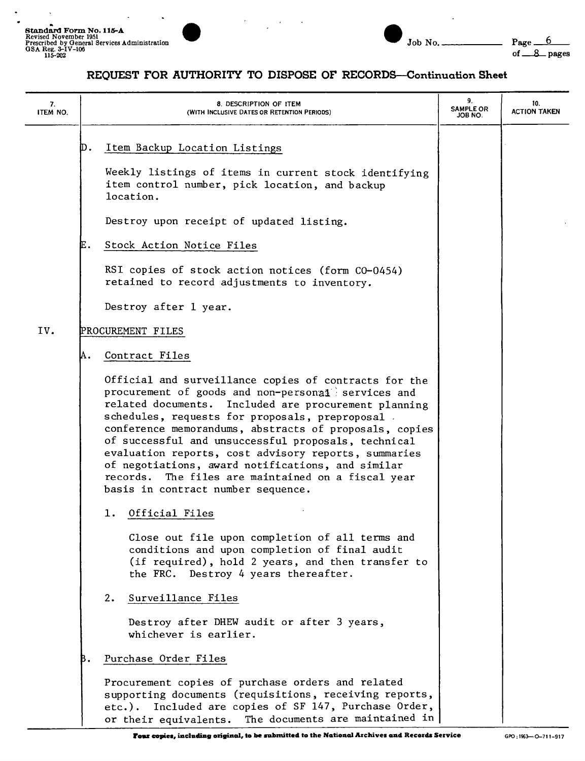



| 7.<br>ITEM NO. |    | 8. DESCRIPTION OF ITEM<br>(WITH INCLUSIVE DATES OR RETENTION PERIODS)                                                                                                                                                                                                                                                                                                                                                                                                                                                                                | 9.<br><b>SAMPLE OR</b><br>JOB NO. | 10.<br><b>ACTION TAKEN</b> |
|----------------|----|------------------------------------------------------------------------------------------------------------------------------------------------------------------------------------------------------------------------------------------------------------------------------------------------------------------------------------------------------------------------------------------------------------------------------------------------------------------------------------------------------------------------------------------------------|-----------------------------------|----------------------------|
|                | D. | Item Backup Location Listings                                                                                                                                                                                                                                                                                                                                                                                                                                                                                                                        |                                   |                            |
|                |    | Weekly listings of items in current stock identifying<br>item control number, pick location, and backup<br>location.                                                                                                                                                                                                                                                                                                                                                                                                                                 |                                   |                            |
|                |    | Destroy upon receipt of updated listing.                                                                                                                                                                                                                                                                                                                                                                                                                                                                                                             |                                   |                            |
|                | E. | Stock Action Notice Files                                                                                                                                                                                                                                                                                                                                                                                                                                                                                                                            |                                   |                            |
|                |    | RSI copies of stock action notices (form CO-0454)<br>retained to record adjustments to inventory.                                                                                                                                                                                                                                                                                                                                                                                                                                                    |                                   |                            |
|                |    | Destroy after 1 year.                                                                                                                                                                                                                                                                                                                                                                                                                                                                                                                                |                                   |                            |
| IV.            |    | PROCUREMENT FILES                                                                                                                                                                                                                                                                                                                                                                                                                                                                                                                                    |                                   |                            |
|                | в. | Contract Files                                                                                                                                                                                                                                                                                                                                                                                                                                                                                                                                       |                                   |                            |
|                |    | Official and surveillance copies of contracts for the<br>procurement of goods and non-personal services and<br>related documents.<br>Included are procurement planning<br>schedules, requests for proposals, preproposal .<br>conference memorandums, abstracts of proposals, copies<br>of successful and unsuccessful proposals, technical<br>evaluation reports, cost advisory reports, summaries<br>of negotiations, award notifications, and similar<br>records. The files are maintained on a fiscal year<br>basis in contract number sequence. |                                   |                            |
|                |    | Official Files<br>ı.                                                                                                                                                                                                                                                                                                                                                                                                                                                                                                                                 |                                   |                            |
|                |    | Close out file upon completion of all terms and<br>conditions and upon completion of final audit<br>(if required), hold 2 years, and then transfer to<br>the FRC. Destroy 4 years thereafter.                                                                                                                                                                                                                                                                                                                                                        |                                   |                            |
|                |    | Surveillance Files<br>2.                                                                                                                                                                                                                                                                                                                                                                                                                                                                                                                             |                                   |                            |
|                |    | Destroy after DHEW audit or after 3 years,<br>whichever is earlier.                                                                                                                                                                                                                                                                                                                                                                                                                                                                                  |                                   |                            |
|                |    | Purchase Order Files                                                                                                                                                                                                                                                                                                                                                                                                                                                                                                                                 |                                   |                            |
|                |    | Procurement copies of purchase orders and related<br>supporting documents (requisitions, receiving reports,<br>etc.). Included are copies of SF 147, Purchase Order,<br>The documents are maintained in<br>or their equivalents.                                                                                                                                                                                                                                                                                                                     |                                   |                            |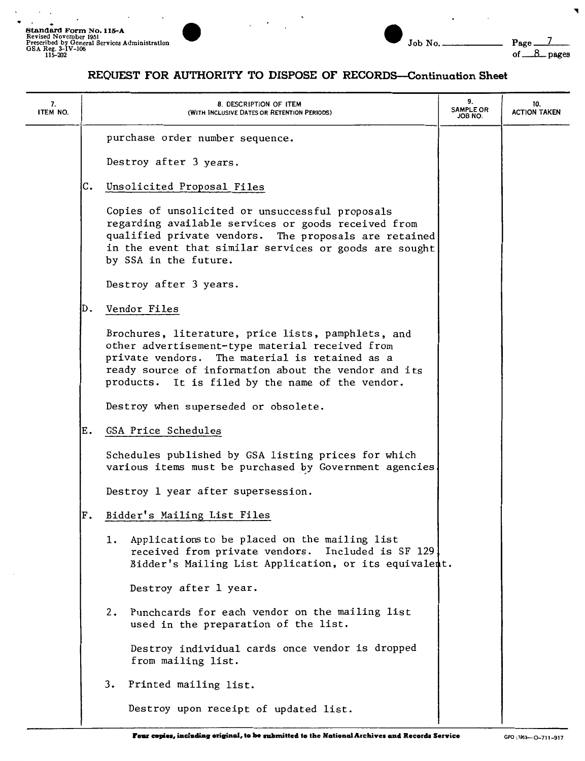

 $\blacksquare$ 

# **REQUEST FOR AUTHORITY TO DISPOSE OF RECORDS-Continuation Sheet**

| 7.<br>ITEM NO. |    | 8. DESCRIPTION OF ITEM<br>(WITH INCLUSIVE DATES OR RETENTION PERIODS)                                                                                                                                                                                               | 9.<br><b>SAMPLE OR</b><br>ON 8OL | 10.<br><b>ACTION TAKEN</b> |
|----------------|----|---------------------------------------------------------------------------------------------------------------------------------------------------------------------------------------------------------------------------------------------------------------------|----------------------------------|----------------------------|
|                |    | purchase order number sequence.                                                                                                                                                                                                                                     |                                  |                            |
|                |    | Destroy after 3 years.                                                                                                                                                                                                                                              |                                  |                            |
|                | С. | Unsolicited Proposal Files                                                                                                                                                                                                                                          |                                  |                            |
|                |    | Copies of unsolicited or unsuccessful proposals<br>regarding available services or goods received from<br>qualified private vendors. The proposals are retained<br>in the event that similar services or goods are sought<br>by SSA in the future.                  |                                  |                            |
|                |    | Destroy after 3 years.                                                                                                                                                                                                                                              |                                  |                            |
|                | D. | Vendor Files                                                                                                                                                                                                                                                        |                                  |                            |
|                |    | Brochures, literature, price lists, pamphlets, and<br>other advertisement-type material received from<br>private vendors. The material is retained as a<br>ready source of information about the vendor and its<br>products. It is filed by the name of the vendor. |                                  |                            |
|                |    | Destroy when superseded or obsolete.                                                                                                                                                                                                                                |                                  |                            |
|                | Ε. | GSA Price Schedules                                                                                                                                                                                                                                                 |                                  |                            |
|                |    | Schedules published by GSA listing prices for which<br>various items must be purchased by Government agencies.                                                                                                                                                      |                                  |                            |
|                |    | Destroy 1 year after supersession.                                                                                                                                                                                                                                  |                                  |                            |
|                | F. | Bidder's Mailing List Files                                                                                                                                                                                                                                         |                                  |                            |
|                |    | Applications to be placed on the mailing list<br>ı.<br>received from private vendors. Included is SF 129.<br>Bidder's Mailing List Application, or its equivalent.                                                                                                  |                                  |                            |
|                |    | Destroy after 1 year.                                                                                                                                                                                                                                               |                                  |                            |
|                |    | Punchcards for each vendor on the mailing list<br>2.<br>used in the preparation of the list.                                                                                                                                                                        |                                  |                            |
|                |    | Destroy individual cards once vendor is dropped<br>from mailing list.                                                                                                                                                                                               |                                  |                            |
|                |    | 3.<br>Printed mailing list.                                                                                                                                                                                                                                         |                                  |                            |
|                |    | Destroy upon receipt of updated list.                                                                                                                                                                                                                               |                                  |                            |
|                |    |                                                                                                                                                                                                                                                                     |                                  |                            |